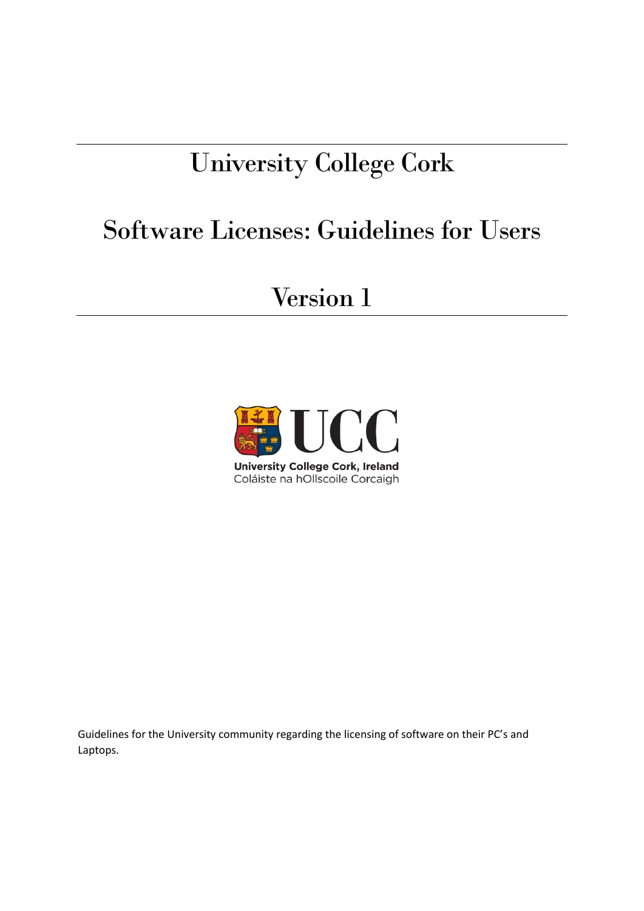# University College Cork

## Software Licenses: Guidelines for Users

### Version 1



Guidelines for the University community regarding the licensing of software on their PC's and Laptops.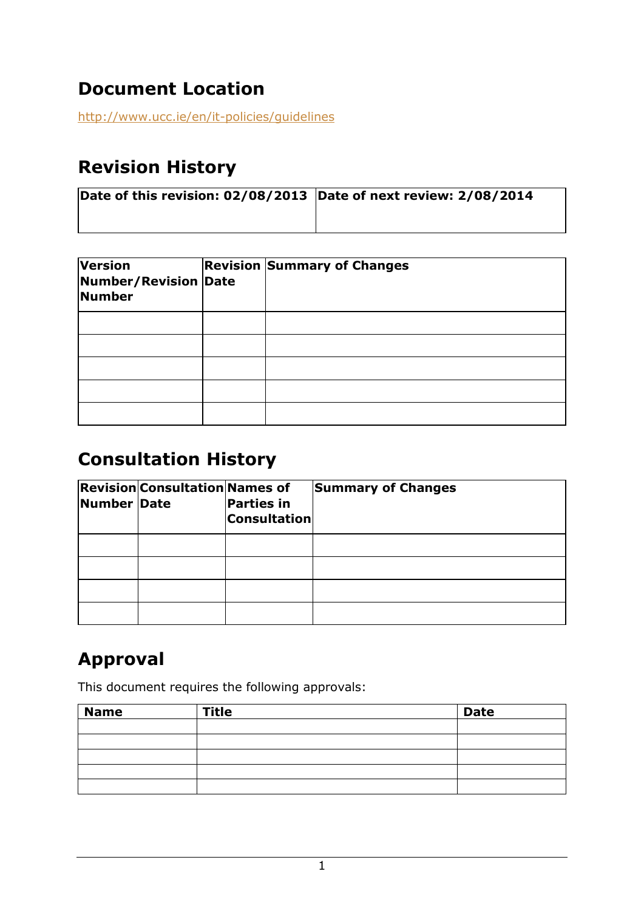#### **Document Location**

<http://www.ucc.ie/en/it-policies/guidelines>

#### **Revision History**

| Date of this revision: 02/08/2013 Date of next review: 2/08/2014 |  |  |  |
|------------------------------------------------------------------|--|--|--|
|                                                                  |  |  |  |

| <b>Version</b><br>Number/Revision Date<br>Number | <b>Revision Summary of Changes</b> |
|--------------------------------------------------|------------------------------------|
|                                                  |                                    |
|                                                  |                                    |
|                                                  |                                    |
|                                                  |                                    |
|                                                  |                                    |

#### **Consultation History**

| Number Date | <b>Revision Consultation Names of</b> | <b>Parties in</b><br><b>Consultation</b> | <b>Summary of Changes</b> |
|-------------|---------------------------------------|------------------------------------------|---------------------------|
|             |                                       |                                          |                           |
|             |                                       |                                          |                           |
|             |                                       |                                          |                           |
|             |                                       |                                          |                           |

### **Approval**

This document requires the following approvals:

| <b>Name</b> | <b>Title</b> | <b>Date</b> |
|-------------|--------------|-------------|
|             |              |             |
|             |              |             |
|             |              |             |
|             |              |             |
|             |              |             |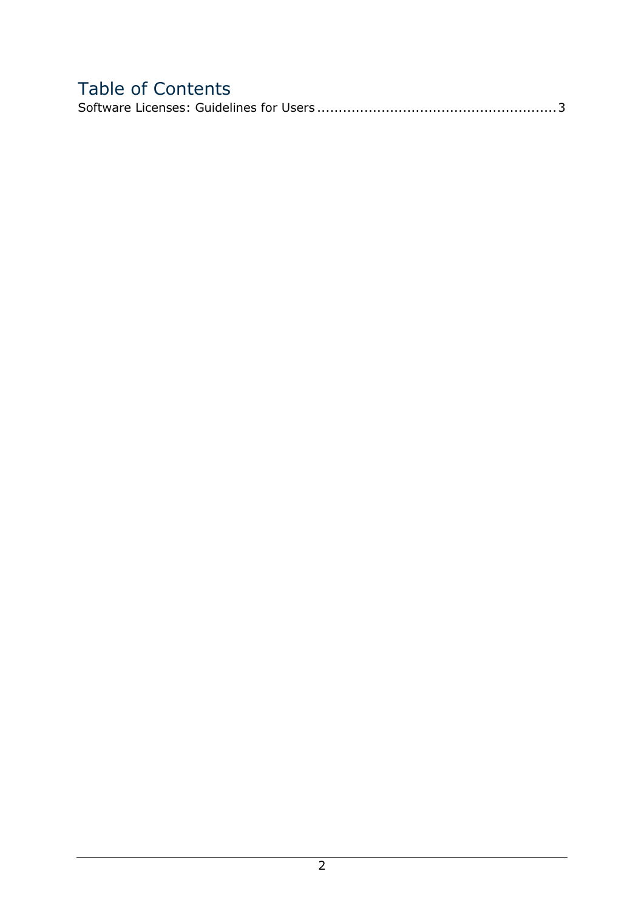#### Table of Contents Software Licenses: Guidelines for Users [........................................................3](#page-3-0)